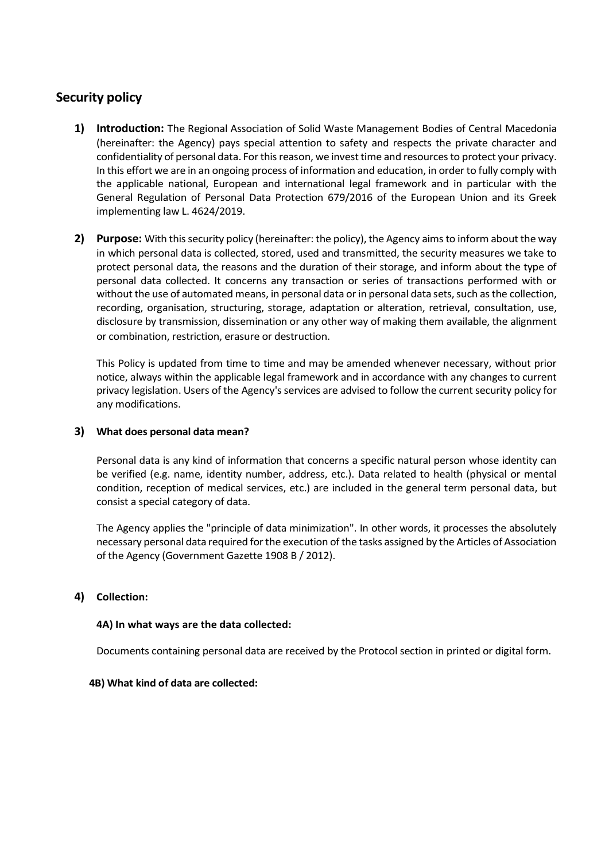# **Security policy**

- **1) Introduction:** The Regional Association of Solid Waste Management Bodies of Central Macedonia (hereinafter: the Agency) pays special attention to safety and respects the private character and confidentiality of personal data. For this reason, we invest time and resources to protect your privacy. In this effort we are in an ongoing process of information and education, in order to fully comply with the applicable national, European and international legal framework and in particular with the General Regulation of Personal Data Protection 679/2016 of the European Union and its Greek implementing law L. 4624/2019.
- **2) Purpose:** With thissecurity policy (hereinafter: the policy), the Agency aims to inform about the way in which personal data is collected, stored, used and transmitted, the security measures we take to protect personal data, the reasons and the duration of their storage, and inform about the type of personal data collected. It concerns any transaction or series of transactions performed with or without the use of automated means, in personal data or in personal data sets, such as the collection, recording, organisation, structuring, storage, adaptation or alteration, retrieval, consultation, use, disclosure by transmission, dissemination or any other way of making them available, the alignment or combination, restriction, erasure or destruction.

This Policy is updated from time to time and may be amended whenever necessary, without prior notice, always within the applicable legal framework and in accordance with any changes to current privacy legislation. Users of the Agency's services are advised to follow the current security policy for any modifications.

#### **3) What does personal data mean?**

Personal data is any kind of information that concerns a specific natural person whose identity can be verified (e.g. name, identity number, address, etc.). Data related to health (physical or mental condition, reception of medical services, etc.) are included in the general term personal data, but consist a special category of data.

The Agency applies the "principle of data minimization". In other words, it processes the absolutely necessary personal data required for the execution of the tasks assigned by the Articles of Association of the Agency (Government Gazette 1908 B / 2012).

#### **4) Collection:**

#### **4A) In what ways are the data collected:**

Documents containing personal data are received by the Protocol section in printed or digital form.

#### **4B) What kind of data are collected:**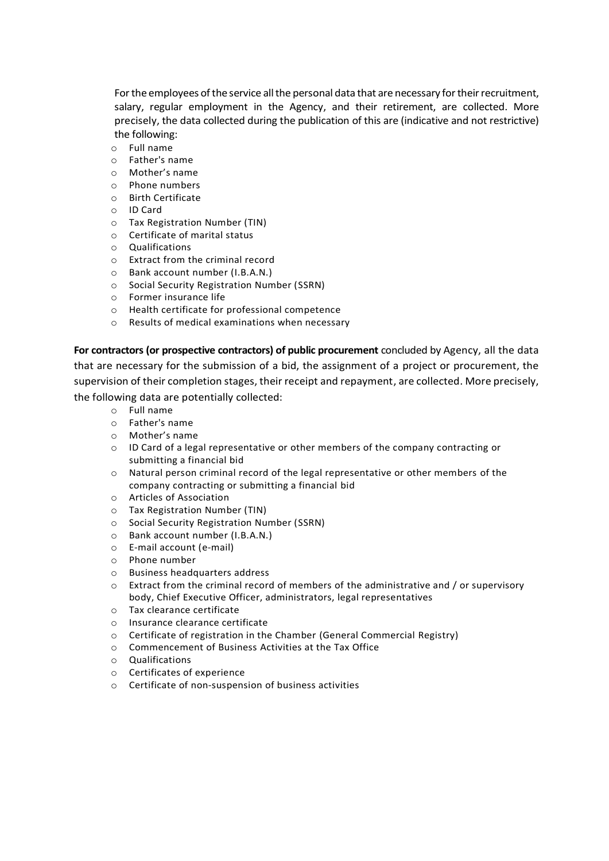For the employees of the service all the personal data that are necessary for their recruitment, salary, regular employment in the Agency, and their retirement, are collected. More precisely, the data collected during the publication of this are (indicative and not restrictive) the following:

- o Full name
- o Father's name
- o Mother's name
- o Phone numbers
- o Birth Certificate
- o ID Card
- o Tax Registration Number (TIN)
- o Certificate of marital status
- o Qualifications
- o Extract from the criminal record
- o Bank account number (I.B.A.N.)
- o Social Security Registration Number (SSRN)
- o Former insurance life
- o Health certificate for professional competence
- o Results of medical examinations when necessary

**For contractors (or prospective contractors) of public procurement** concluded by Agency, all the data that are necessary for the submission of a bid, the assignment of a project or procurement, the supervision of their completion stages, their receipt and repayment, are collected. More precisely, the following data are potentially collected:

- o Full name
- o Father's name
- o Mother's name
- o ID Card of a legal representative or other members of the company contracting or submitting a financial bid
- o Natural person criminal record of the legal representative or other members of the company contracting or submitting a financial bid
- o Articles of Association
- o Tax Registration Number (TIN)
- o Social Security Registration Number (SSRN)
- o Bank account number (I.B.A.N.)
- o E-mail account (e-mail)
- o Phone number
- o Business headquarters address
- $\circ$  Extract from the criminal record of members of the administrative and / or supervisory body, Chief Executive Officer, administrators, legal representatives
- o Tax clearance certificate
- o Insurance clearance certificate
- o Certificate of registration in the Chamber (General Commercial Registry)
- o Commencement of Business Activities at the Tax Office
- o Qualifications
- o Certificates of experience
- o Certificate of non-suspension of business activities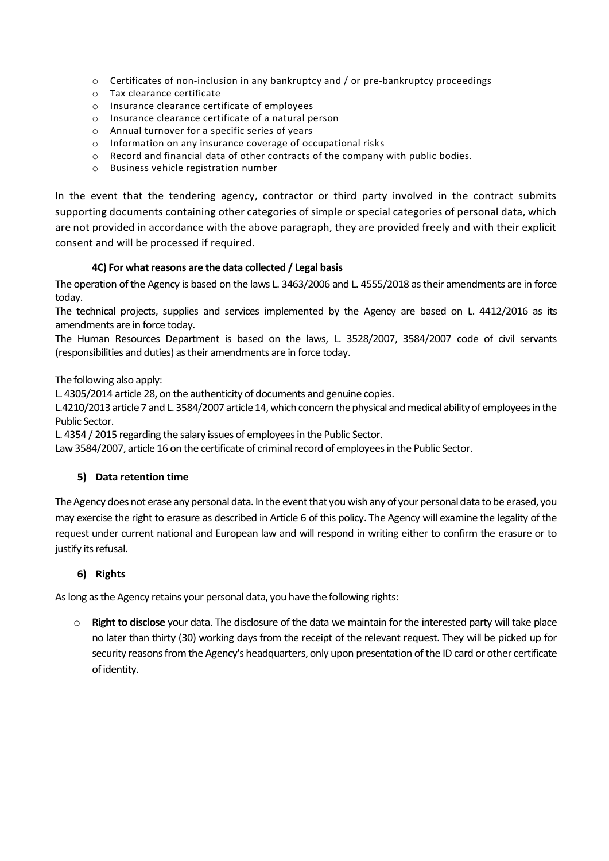- o Certificates of non-inclusion in any bankruptcy and / or pre-bankruptcy proceedings
- o Tax clearance certificate
- o Insurance clearance certificate of employees
- o Insurance clearance certificate of a natural person
- o Annual turnover for a specific series of years
- o Information on any insurance coverage of occupational risks
- o Record and financial data of other contracts of the company with public bodies.
- o Business vehicle registration number

In the event that the tendering agency, contractor or third party involved in the contract submits supporting documents containing other categories of simple or special categories of personal data, which are not provided in accordance with the above paragraph, they are provided freely and with their explicit consent and will be processed if required.

## **4C) For what reasons are the data collected / Legal basis**

The operation of the Agency is based on the laws L. 3463/2006 and L. 4555/2018 as their amendments are in force today.

The technical projects, supplies and services implemented by the Agency are based on L. 4412/2016 as its amendments are in force today.

The Human Resources Department is based on the laws, L. 3528/2007, 3584/2007 code of civil servants (responsibilities and duties) as their amendments are in force today.

The following also apply:

L. 4305/2014 article 28, on the authenticity of documents and genuine copies.

L.4210/2013 article 7 and L. 3584/2007 article 14, which concern the physical and medical ability of employees in the Public Sector.

L. 4354 / 2015 regarding the salary issues of employees in the Public Sector.

Law 3584/2007, article 16 on the certificate of criminal record of employees in the Public Sector.

## **5) Data retention time**

The Agency does not erase any personal data. In the event that you wish any of your personal data to be erased, you may exercise the right to erasure as described in Article 6 of this policy. The Agency will examine the legality of the request under current national and European law and will respond in writing either to confirm the erasure or to justify its refusal.

## **6) Rights**

As long as the Agency retains your personal data, you have the following rights:

o **Right to disclose** your data. The disclosure of the data we maintain for the interested party will take place no later than thirty (30) working days from the receipt of the relevant request. They will be picked up for security reasons from the Agency's headquarters, only upon presentation of the ID card or other certificate of identity.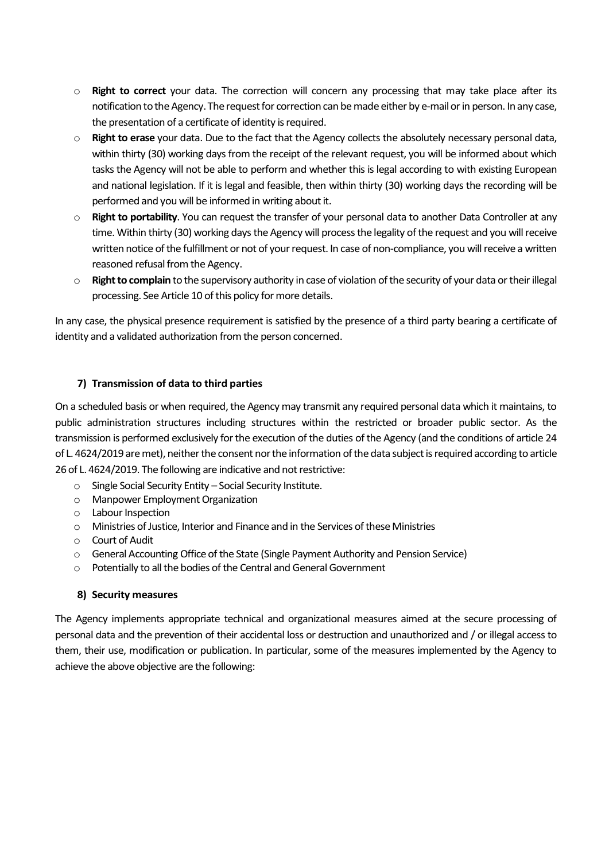- o **Right to correct** your data. The correction will concern any processing that may take place after its notification to the Agency. The request for correction can be made either by e-mail or in person. In any case, the presentation of a certificate of identity is required.
- o **Right to erase** your data. Due to the fact that the Agency collects the absolutely necessary personal data, within thirty (30) working days from the receipt of the relevant request, you will be informed about which tasks the Agency will not be able to perform and whether this is legal according to with existing European and national legislation. If it is legal and feasible, then within thirty (30) working days the recording will be performed and you will be informed in writing about it.
- o **Right to portability**. You can request the transfer of your personal data to another Data Controller at any time. Within thirty (30) working days the Agency will process the legality of the request and you will receive written notice of the fulfillment or not of your request. In case of non-compliance, you will receive a written reasoned refusal from the Agency.
- o **Right to complain** to the supervisory authority in case of violation of the security of your data or their illegal processing. See Article 10 of this policy for more details.

In any case, the physical presence requirement is satisfied by the presence of a third party bearing a certificate of identity and a validated authorization from the person concerned.

## **7) Transmission of data to third parties**

On a scheduled basis or when required, the Agency may transmit any required personal data which it maintains, to public administration structures including structures within the restricted or broader public sector. As the transmission is performed exclusively for the execution of the duties of the Agency (and the conditions of article 24 of L. 4624/2019 are met), neither the consent nor the information of the data subject is required according to article 26 of L. 4624/2019. The following are indicative and not restrictive:

- o Single Social Security Entity Social Security Institute.
- o Manpower Employment Organization
- o Labour Inspection
- o Ministries of Justice, Interior and Finance and in the Services of these Ministries
- o Court of Audit
- o General Accounting Office of the State (Single Payment Authority and Pension Service)
- o Potentially to all the bodies of the Central and General Government

#### **8) Security measures**

The Agency implements appropriate technical and organizational measures aimed at the secure processing of personal data and the prevention of their accidental loss or destruction and unauthorized and / or illegal access to them, their use, modification or publication. In particular, some of the measures implemented by the Agency to achieve the above objective are the following: